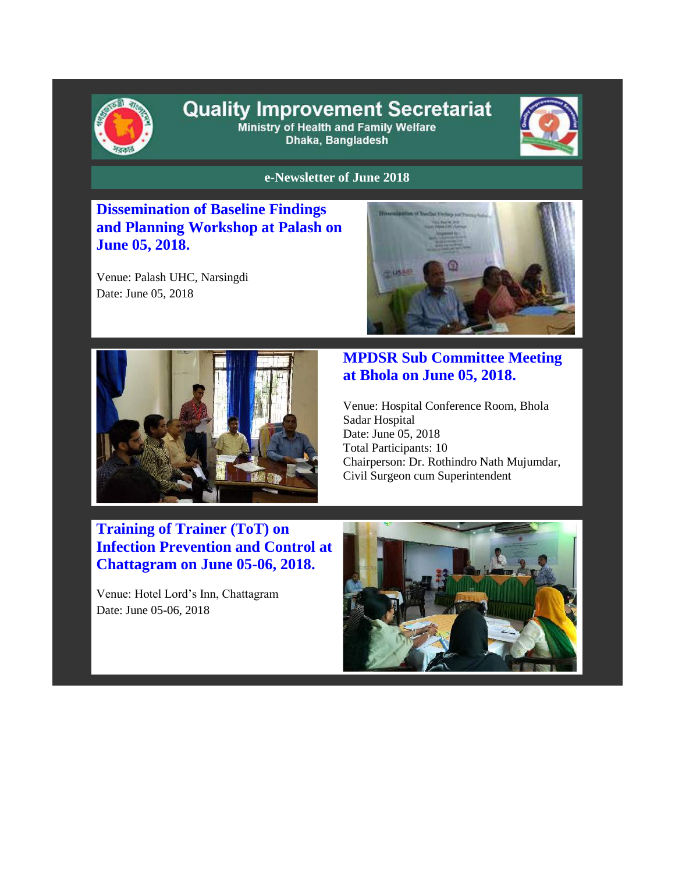

# **Quality Improvement Secretariat** Ministry of Health and Family Welfare

Dhaka, Bangladesh



#### **e-Newsletter of June 2018**

**Dissemination of Baseline Findings and Planning Workshop at Palash on June 05, 2018.**

Venue: Palash UHC, Narsingdi Date: June 05, 2018





## **MPDSR Sub Committee Meeting at Bhola on June 05, 2018.**

Venue: Hospital Conference Room, Bhola Sadar Hospital Date: June 05, 2018 Total Participants: 10 Chairperson: Dr. Rothindro Nath Mujumdar, Civil Surgeon cum Superintendent

# **Training of Trainer (ToT) on Infection Prevention and Control at Chattagram on June 05-06, 2018.**

Venue: Hotel Lord's Inn, Chattagram Date: June 05-06, 2018

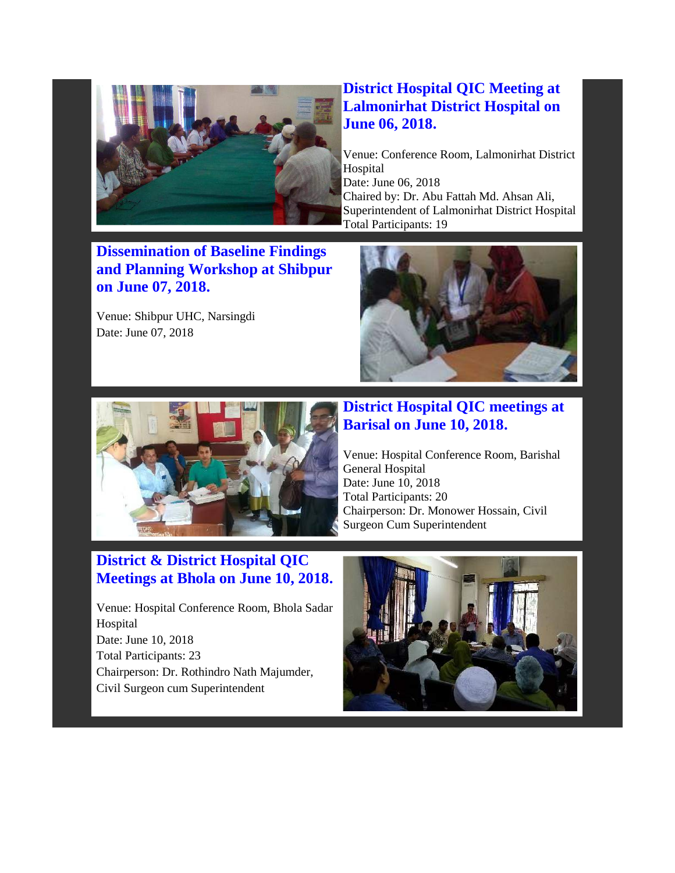

#### **District Hospital QIC Meeting at Lalmonirhat District Hospital on June 06, 2018.**

Venue: Conference Room, Lalmonirhat District Hospital Date: June 06, 2018 Chaired by: Dr. Abu Fattah Md. Ahsan Ali, Superintendent of Lalmonirhat District Hospital Total Participants: 19

**Dissemination of Baseline Findings and Planning Workshop at Shibpur on June 07, 2018.**

Venue: Shibpur UHC, Narsingdi Date: June 07, 2018





### **District Hospital QIC meetings at Barisal on June 10, 2018.**

Venue: Hospital Conference Room, Barishal General Hospital Date: June 10, 2018 Total Participants: 20 Chairperson: Dr. Monower Hossain, Civil Surgeon Cum Superintendent

# **District & District Hospital QIC Meetings at Bhola on June 10, 2018.**

Venue: Hospital Conference Room, Bhola Sadar Hospital Date: June 10, 2018 Total Participants: 23 Chairperson: Dr. Rothindro Nath Majumder, Civil Surgeon cum Superintendent

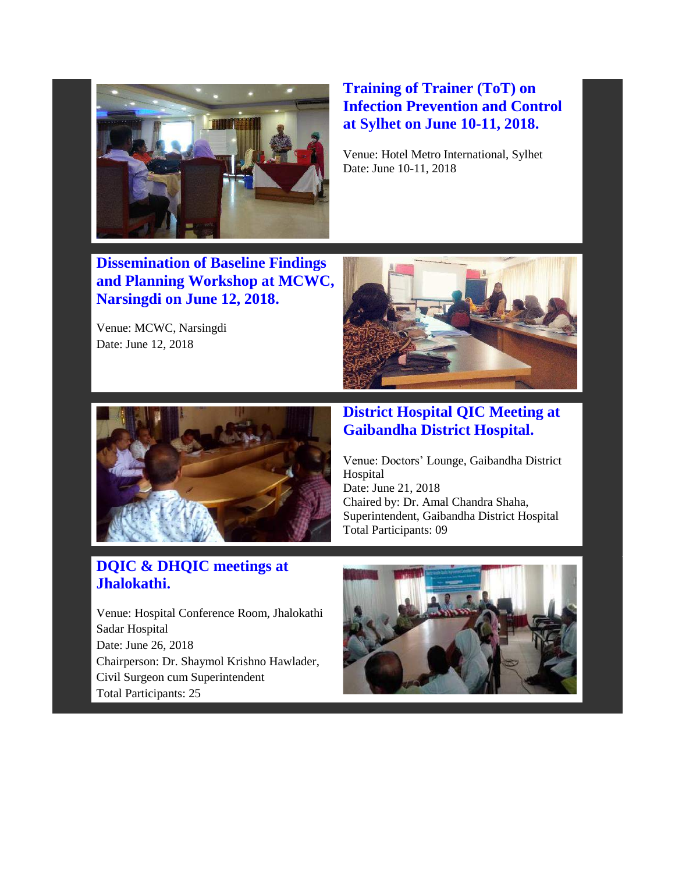

## **Training of Trainer (ToT) on Infection Prevention and Control at Sylhet on June 10-11, 2018.**

Venue: Hotel Metro International, Sylhet Date: June 10-11, 2018

**Dissemination of Baseline Findings and Planning Workshop at MCWC, Narsingdi on June 12, 2018.**

Venue: MCWC, Narsingdi Date: June 12, 2018





#### **District Hospital QIC Meeting at Gaibandha District Hospital.**

Venue: Doctors' Lounge, Gaibandha District Hospital Date: June 21, 2018 Chaired by: Dr. Amal Chandra Shaha, Superintendent, Gaibandha District Hospital Total Participants: 09

# **DQIC & DHQIC meetings at Jhalokathi.**

Venue: Hospital Conference Room, Jhalokathi Sadar Hospital Date: June 26, 2018 Chairperson: Dr. Shaymol Krishno Hawlader, Civil Surgeon cum Superintendent Total Participants: 25

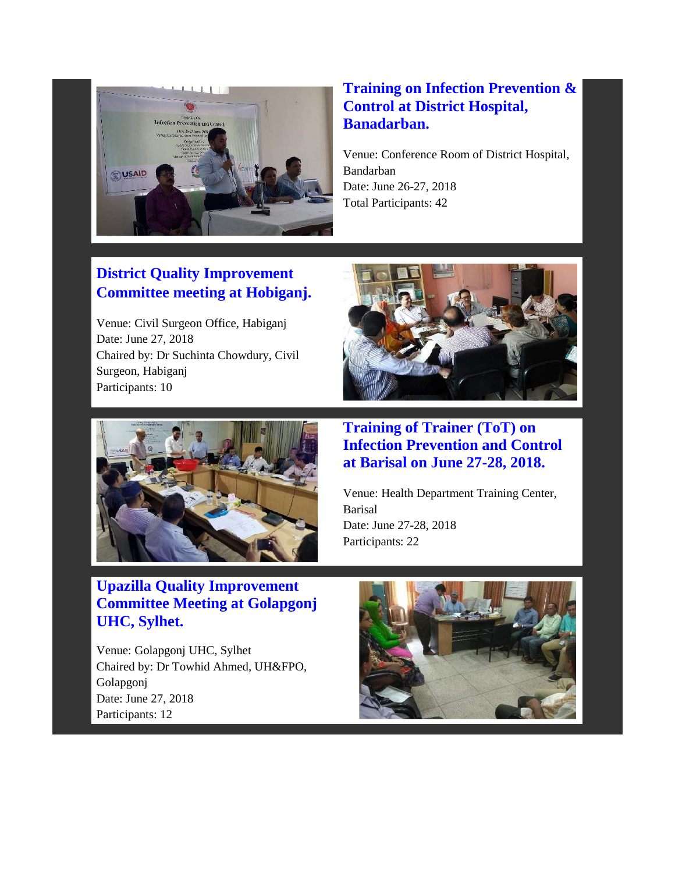

# **Training on Infection Prevention & Control at District Hospital, Banadarban.**

Venue: Conference Room of District Hospital, Bandarban Date: June 26-27, 2018 Total Participants: 42

# **District Quality Improvement Committee meeting at Hobiganj.**

Venue: Civil Surgeon Office, Habiganj Date: June 27, 2018 Chaired by: Dr Suchinta Chowdury, Civil Surgeon, Habiganj Participants: 10



# **Upazilla Quality Improvement Committee Meeting at Golapgonj UHC, Sylhet.**

Venue: Golapgonj UHC, Sylhet Chaired by: Dr Towhid Ahmed, UH&FPO, Golapgonj Date: June 27, 2018 Participants: 12



**Training of Trainer (ToT) on Infection Prevention and Control at Barisal on June 27-28, 2018.**

Venue: Health Department Training Center, Barisal Date: June 27-28, 2018 Participants: 22